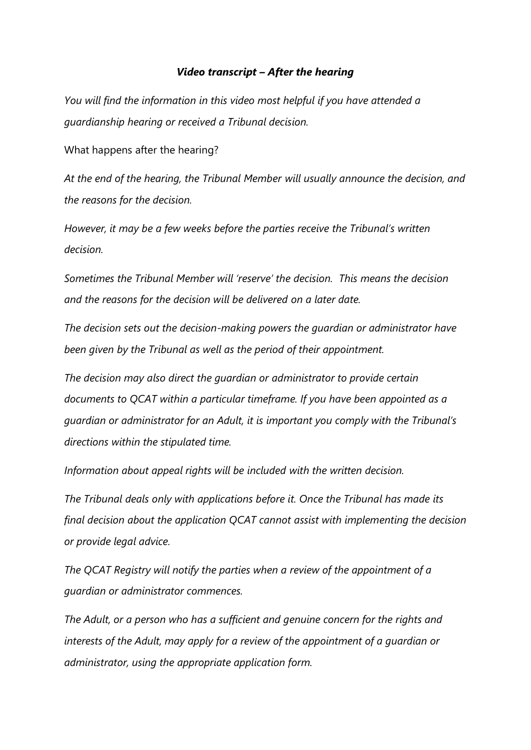## *Video transcript – After the hearing*

*You will find the information in this video most helpful if you have attended a guardianship hearing or received a Tribunal decision.*

What happens after the hearing?

*At the end of the hearing, the Tribunal Member will usually announce the decision, and the reasons for the decision.*

*However, it may be a few weeks before the parties receive the Tribunal's written decision.*

*Sometimes the Tribunal Member will 'reserve' the decision. This means the decision and the reasons for the decision will be delivered on a later date.*

*The decision sets out the decision-making powers the guardian or administrator have been given by the Tribunal as well as the period of their appointment.*

*The decision may also direct the guardian or administrator to provide certain documents to QCAT within a particular timeframe. If you have been appointed as a guardian or administrator for an Adult, it is important you comply with the Tribunal's directions within the stipulated time.*

*Information about appeal rights will be included with the written decision.*

*The Tribunal deals only with applications before it. Once the Tribunal has made its final decision about the application QCAT cannot assist with implementing the decision or provide legal advice.*

*The QCAT Registry will notify the parties when a review of the appointment of a guardian or administrator commences.*

*The Adult, or a person who has a sufficient and genuine concern for the rights and interests of the Adult, may apply for a review of the appointment of a guardian or administrator, using the appropriate application form.*